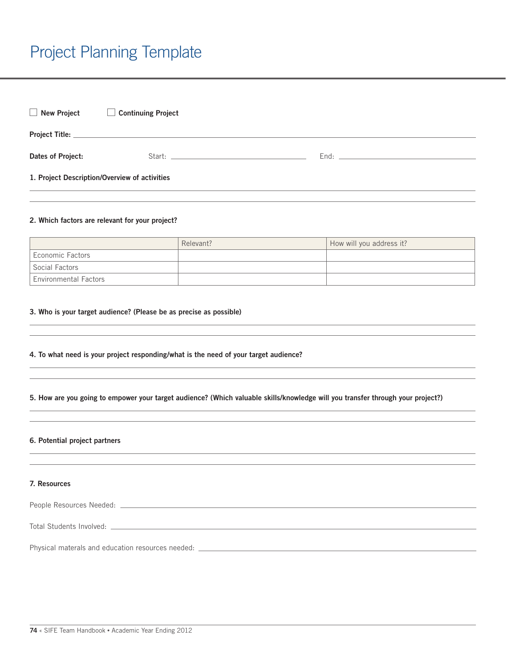# Project Planning Template

| New Project                                   | <b>Continuing Project</b>                                                                                                                                                                                                      |  |  |
|-----------------------------------------------|--------------------------------------------------------------------------------------------------------------------------------------------------------------------------------------------------------------------------------|--|--|
|                                               |                                                                                                                                                                                                                                |  |  |
| Dates of Project:                             | Start: North Start Start Start Start Start Start Start Start Start Start Start Start Start Start Start Start Start Start Start Start Start Start Start Start Start Start Start Start Start Start Start Start Start Start Start |  |  |
| 1. Project Description/Overview of activities |                                                                                                                                                                                                                                |  |  |

#### 2. Which factors are relevant for your project?

|                              | Relevant? | How will you address it? |
|------------------------------|-----------|--------------------------|
| <b>Economic Factors</b>      |           |                          |
| Social Factors               |           |                          |
| <b>Environmental Factors</b> |           |                          |

#### 3. Who is your target audience? (Please be as precise as possible)

#### 4. To what need is your project responding/what is the need of your target audience?

## 5. How are you going to empower your target audience? (Which valuable skills/knowledge will you transfer through your project?)

#### 6. Potential project partners

## 7. Resources

| People Resources Needed: |  |
|--------------------------|--|
|                          |  |

Total Students Involved: **with the contract of the contract of the contract of the contract of the contract of the contract of the contract of the contract of the contract of the contract of the contract of the contract of** 

Physical materals and education resources needed: